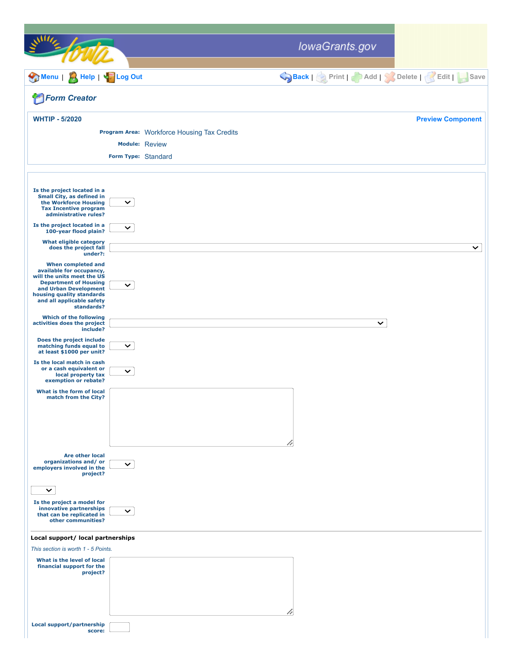|                                                                                                                                                                                                 |                       |                                             | lowaGrants.gov                            |                          |
|-------------------------------------------------------------------------------------------------------------------------------------------------------------------------------------------------|-----------------------|---------------------------------------------|-------------------------------------------|--------------------------|
| Menu<br><b>A Help   Sold Log Out</b>                                                                                                                                                            |                       |                                             | Back   Print   Add   Solete   Edit   Save |                          |
| <b>Form Creator</b>                                                                                                                                                                             |                       |                                             |                                           |                          |
| <b>WHTIP - 5/2020</b>                                                                                                                                                                           |                       |                                             |                                           | <b>Preview Component</b> |
|                                                                                                                                                                                                 |                       | Program Area: Workforce Housing Tax Credits |                                           |                          |
|                                                                                                                                                                                                 | <b>Module: Review</b> |                                             |                                           |                          |
|                                                                                                                                                                                                 |                       | Form Type: Standard                         |                                           |                          |
|                                                                                                                                                                                                 |                       |                                             |                                           |                          |
| Is the project located in a<br>Small City, as defined in<br>the Workforce Housing<br><b>Tax Incentive program</b><br>administrative rules?                                                      | $\checkmark$          |                                             |                                           |                          |
| Is the project located in a<br>100-year flood plain?                                                                                                                                            | $\checkmark$          |                                             |                                           |                          |
| <b>What eligible category</b><br>does the project fall<br>under?:                                                                                                                               |                       |                                             |                                           | $\checkmark$             |
| When completed and<br>available for occupancy,<br>will the units meet the US<br><b>Department of Housing</b><br>and Urban Development<br>housing quality standards<br>and all applicable safety | $\checkmark$          |                                             |                                           |                          |
| standards?<br><b>Which of the following</b><br>activities does the project<br>include?                                                                                                          |                       |                                             | $\checkmark$                              |                          |
| Does the project include<br>matching funds equal to<br>at least \$1000 per unit?                                                                                                                | $\checkmark$          |                                             |                                           |                          |
| Is the local match in cash<br>or a cash equivalent or<br>local property tax<br>exemption or rebate?                                                                                             | $\checkmark$          |                                             |                                           |                          |
| What is the form of local<br>match from the City?                                                                                                                                               |                       |                                             | h                                         |                          |
| <b>Are other local</b><br>organizations and/or<br>employers involved in the<br>project?                                                                                                         | $\checkmark$          |                                             |                                           |                          |
| $\checkmark$<br>Is the project a model for<br>innovative partnerships<br>that can be replicated in<br>other communities?                                                                        | $\checkmark$          |                                             |                                           |                          |
| Local support/ local partnerships                                                                                                                                                               |                       |                                             |                                           |                          |
| This section is worth 1 - 5 Points.                                                                                                                                                             |                       |                                             |                                           |                          |
| What is the level of local<br>financial support for the<br>project?                                                                                                                             |                       |                                             | h                                         |                          |
| Local support/partnership<br>score:                                                                                                                                                             |                       |                                             |                                           |                          |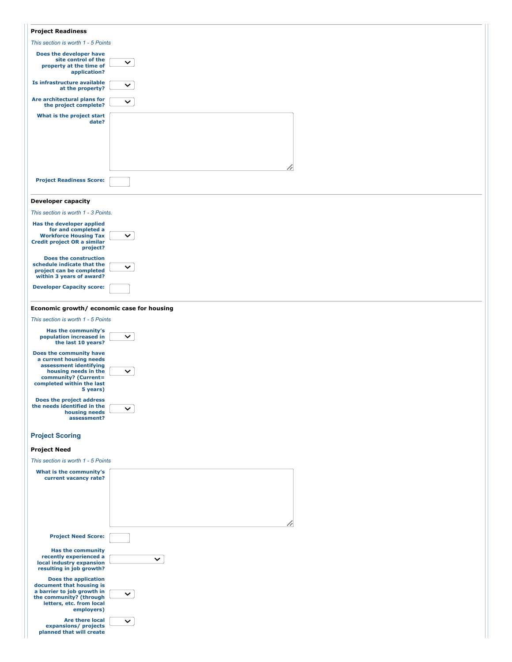| <b>Project Readiness</b>                                                                                                                                              |              |  |  |  |
|-----------------------------------------------------------------------------------------------------------------------------------------------------------------------|--------------|--|--|--|
| This section is worth 1 - 5 Points                                                                                                                                    |              |  |  |  |
| Does the developer have<br>site control of the<br>property at the time of<br>application?                                                                             | $\checkmark$ |  |  |  |
| Is infrastructure available<br>at the property?                                                                                                                       | $\checkmark$ |  |  |  |
| Are architectural plans for<br>the project complete?                                                                                                                  | $\checkmark$ |  |  |  |
| What is the project start<br>date?                                                                                                                                    |              |  |  |  |
| <b>Project Readiness Score:</b>                                                                                                                                       | /1           |  |  |  |
| <b>Developer capacity</b>                                                                                                                                             |              |  |  |  |
| This section is worth 1 - 3 Points.                                                                                                                                   |              |  |  |  |
| Has the developer applied                                                                                                                                             |              |  |  |  |
| for and completed a<br><b>Workforce Housing Tax</b><br><b>Credit project OR a similar</b><br>project?                                                                 | $\checkmark$ |  |  |  |
| <b>Does the construction</b><br>schedule indicate that the<br>project can be completed<br>within 3 years of award?                                                    | $\checkmark$ |  |  |  |
| <b>Developer Capacity score:</b>                                                                                                                                      |              |  |  |  |
| Economic growth/ economic case for housing                                                                                                                            |              |  |  |  |
| This section is worth 1 - 5 Points                                                                                                                                    |              |  |  |  |
| Has the community's<br>population increased in<br>the last 10 years?                                                                                                  | $\checkmark$ |  |  |  |
| Does the community have<br>a current housing needs<br>assessment identifying<br>housing needs in the<br>community? (Current=<br>completed within the last<br>5 years) | $\checkmark$ |  |  |  |
| Does the project address<br>the needs identified in the<br>housing needs<br>assessment?                                                                               | $\checkmark$ |  |  |  |
| <b>Project Scoring</b>                                                                                                                                                |              |  |  |  |
| <b>Project Need</b>                                                                                                                                                   |              |  |  |  |
| This section is worth 1 - 5 Points                                                                                                                                    |              |  |  |  |
| What is the community's<br>current vacancy rate?                                                                                                                      | h            |  |  |  |
| <b>Project Need Score:</b>                                                                                                                                            |              |  |  |  |
| <b>Has the community</b><br>recently experienced a<br>local industry expansion<br>resulting in job growth?                                                            | $\checkmark$ |  |  |  |
| <b>Does the application</b><br>document that housing is<br>a barrier to job growth in<br>the community? (through<br>letters, etc. from local<br>employers)            | $\checkmark$ |  |  |  |
| Are there local<br>expansions/ projects<br>planned that will create                                                                                                   | $\checkmark$ |  |  |  |